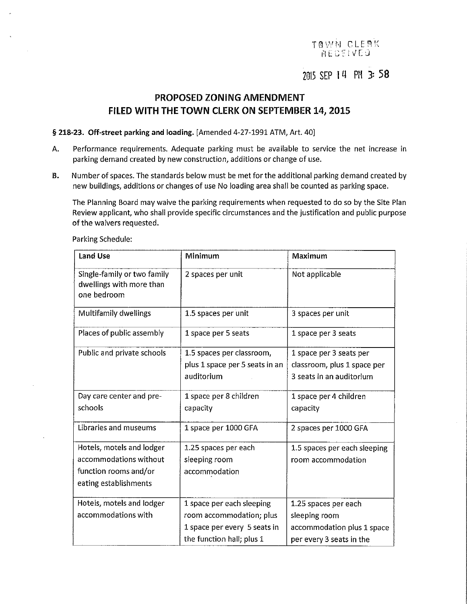### TAWN CLEAK **NECEIVEJ**

## 2015 SEP 14 PM 3: 58

## PROPOSED ZONING AMENDMENT FILED WITH THE TOWN CLERK ON SEPTEMBER 14, 2015

§ 218-23. Off-street parking and loading. [Amended 4-27-1991 ATM, Art. 40]

- A. Performance requirements. Adequate parking must be available to service the net increase in parking demand created by new construction, additions or change of use.
- B. Number of spaces. The standards below must be met for the additional parking demand created by new buildings, additions or changes of use No loading area shall be counted as parking space.

The Planning Board may waive the parking requirements when requested to do so by the Site Plan Review applicant, who shall provide specific circumstances and the justification and public purpose of the waivers requested.

| <b>Land Use</b>                                                                                       | Minimum                                                                                                            | Maximum                                                                                         |  |
|-------------------------------------------------------------------------------------------------------|--------------------------------------------------------------------------------------------------------------------|-------------------------------------------------------------------------------------------------|--|
| Single-family or two family<br>dwellings with more than<br>one bedroom                                | 2 spaces per unit                                                                                                  | Not applicable                                                                                  |  |
| <b>Multifamily dwellings</b>                                                                          | 1.5 spaces per unit                                                                                                | 3 spaces per unit                                                                               |  |
| Places of public assembly                                                                             | 1 space per 5 seats                                                                                                | 1 space per 3 seats                                                                             |  |
| Public and private schools                                                                            | 1.5 spaces per classroom,<br>plus 1 space per 5 seats in an<br>auditorium                                          | 1 space per 3 seats per<br>classroom, plus 1 space per<br>3 seats in an auditorium              |  |
| Day care center and pre-<br>schools                                                                   | 1 space per 8 children<br>capacity                                                                                 | 1 space per 4 children<br>capacity                                                              |  |
| Libraries and museums                                                                                 | 1 space per 1000 GFA                                                                                               | 2 spaces per 1000 GFA                                                                           |  |
| Hotels, motels and lodger<br>accommodations without<br>function rooms and/or<br>eating establishments | 1.25 spaces per each<br>sleeping room<br>accommodation                                                             | 1.5 spaces per each sleeping<br>room accommodation                                              |  |
| Hotels, motels and lodger<br>accommodations with                                                      | 1 space per each sleeping<br>room accommodation; plus<br>1 space per every 5 seats in<br>the function hall; plus 1 | 1.25 spaces per each<br>sleeping room<br>accommodation plus 1 space<br>per every 3 seats in the |  |

Parking Schedule: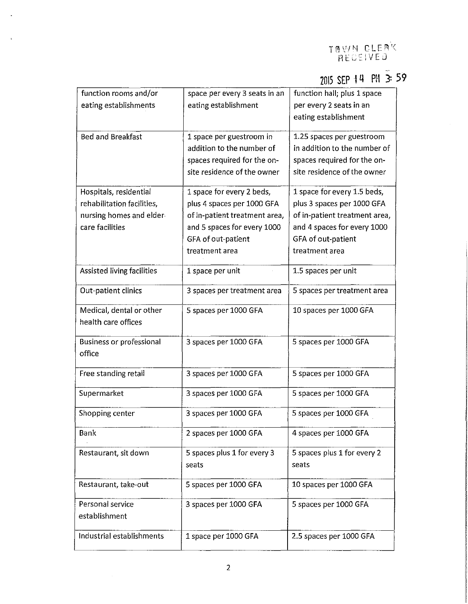# 2015 SEP I *ll* PM 3= 59

| function rooms and/or           | space per every 3 seats in an | function hall; plus 1 space   |  |
|---------------------------------|-------------------------------|-------------------------------|--|
| eating establishments           | eating establishment          | per every 2 seats in an       |  |
|                                 |                               | eating establishment          |  |
|                                 |                               |                               |  |
| <b>Bed and Breakfast</b>        | 1 space per guestroom in      | 1.25 spaces per guestroom     |  |
|                                 | addition to the number of     | in addition to the number of  |  |
|                                 | spaces required for the on-   | spaces required for the on-   |  |
|                                 | site residence of the owner   | site residence of the owner   |  |
|                                 |                               |                               |  |
| Hospitals, residential          | 1 space for every 2 beds,     | 1 space for every 1.5 beds,   |  |
| rehabilitation facilities,      | plus 4 spaces per 1000 GFA    | plus 3 spaces per 1000 GFA    |  |
| nursing homes and elder         | of in-patient treatment area, | of in-patient treatment area, |  |
| care facilities                 |                               |                               |  |
|                                 | and 5 spaces for every 1000   | and 4 spaces for every 1000   |  |
|                                 | GFA of out-patient            | GFA of out-patient            |  |
|                                 | treatment area                | treatment area                |  |
| Assisted living facilities      | 1 space per unit              | 1.5 spaces per unit           |  |
|                                 |                               |                               |  |
| Out-patient clinics             | 3 spaces per treatment area   | 5 spaces per treatment area   |  |
|                                 |                               |                               |  |
| Medical, dental or other        | 5 spaces per 1000 GFA         | 10 spaces per 1000 GFA        |  |
| health care offices             |                               |                               |  |
|                                 |                               |                               |  |
| <b>Business or professional</b> | 3 spaces per 1000 GFA         | 5 spaces per 1000 GFA         |  |
| office                          |                               |                               |  |
|                                 |                               |                               |  |
| Free standing retail            | 3 spaces per 1000 GFA         | 5 spaces per 1000 GFA         |  |
|                                 |                               |                               |  |
| Supermarket                     | 3 spaces per 1000 GFA         | 5 spaces per 1000 GFA         |  |
| Shopping center                 | 3 spaces per 1000 GFA         | 5 spaces per 1000 GFA         |  |
|                                 |                               |                               |  |
| Bank                            | 2 spaces per 1000 GFA         | 4 spaces per 1000 GFA         |  |
|                                 |                               |                               |  |
| Restaurant, sit down            | 5 spaces plus 1 for every 3   | 5 spaces plus 1 for every 2   |  |
|                                 | seats                         | seats                         |  |
|                                 |                               |                               |  |
| Restaurant, take-out            | 5 spaces per 1000 GFA         | 10 spaces per 1000 GFA        |  |
|                                 |                               |                               |  |
| Personal service                | 3 spaces per 1000 GFA         | 5 spaces per 1000 GFA         |  |
| establishment                   |                               |                               |  |
|                                 |                               |                               |  |
| Industrial establishments       | 1 space per 1000 GFA          | 2.5 spaces per 1000 GFA       |  |
|                                 |                               |                               |  |

l.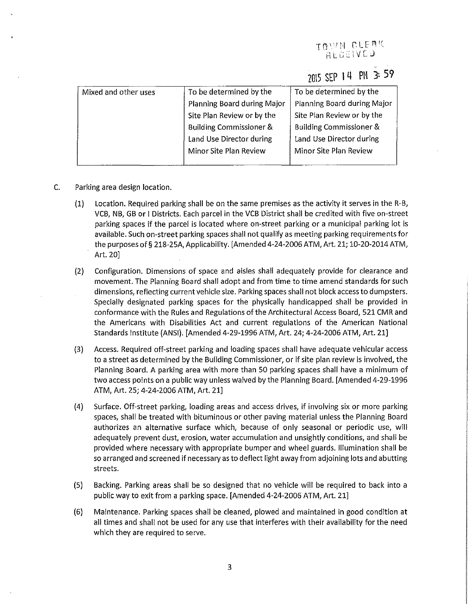### TRYVN CLEAK AECEIVED

# ZOl5 SEP I **LI PH 3: 59**

| Mixed and other uses | To be determined by the<br>To be determined by the |                                    |
|----------------------|----------------------------------------------------|------------------------------------|
|                      | Planning Board during Major                        | Planning Board during Major        |
|                      | Site Plan Review or by the                         | Site Plan Review or by the         |
|                      | <b>Building Commissioner &amp;</b>                 | <b>Building Commissioner &amp;</b> |
|                      | Land Use Director during                           | Land Use Director during           |
|                      | Minor Site Plan Review                             | Minor Site Plan Review             |
|                      |                                                    |                                    |

- C. Parking area design location.
	- (1) Location. Required parking shall be on the same premises as the activity it serves in the R-B, VCB, NB, GB or I Districts. Each parcel in the VCB District shall be credited with five on-street parking spaces if the parcel is located where on-street parking or a municipal parking lot is available. Such on-street parking spaces shall not qualify as meeting parking requirements for the purposes of§ 218-25A, Applicability. [Amended 4-24-2006 ATM, Art. 21; 10-20-2014 ATM, Art. 20]
	- (2) Configuration. Dimensions of space and aisles shall adequately provide for clearance and movement. The Planning Board shall adopt and from time to time amend standards for such dimensions, reflecting current vehicle size. Parking spaces shall not block access to dumpsters. Specially designated parking spaces for the physically handicapped shall be provided in conformance with the Rules and Regulations of the Architectural Access Board, 521 CMR and the Americans with Disabilities Act and current regulations of the American National Standards Institute (ANSI). [Amended 4-29-1996 ATM, Art. 24; 4-24-2006 ATM, Art. 21]
	- (3) Access. Required off-street parking and loading spaces shall have adequate vehicular access to a street as determined by the Building Commissioner, or if site plan review is involved, the Planning Board. A parking area with more than 50 parking spaces shall have a minimum of two access points on a public way unless waived by the Planning Board. [Amended 4-29-1996 ATM, Art. 25; 4-24-2006 ATM, Art. 21]
	- (4) Surface. Off-street parking, loading areas and access drives, if involving six or more parking spaces, shall be treated with bituminous or other paving material unless the Planning Board authorizes an alternative surface which, because of only seasonal or periodic use, will adequately prevent dust, erosion, water accumulation and unsightly conditions, and shall be provided where necessary with appropriate bumper and wheel guards. Illumination shall be so arranged and screened if necessary as to deflect light away from adjoining lots and abutting streets.
	- (5) Backing. Parking areas shall be so designed that no vehicle will be required to back into a public way to exit from a parking space. [Amended 4-24-2006 ATM, Art. 21]
	- (6) Maintenance. Parking spaces shall be cleaned, plowed and maintained in good condition at all times and shall not be used for any use that interferes with their availability for the need which they are required to serve.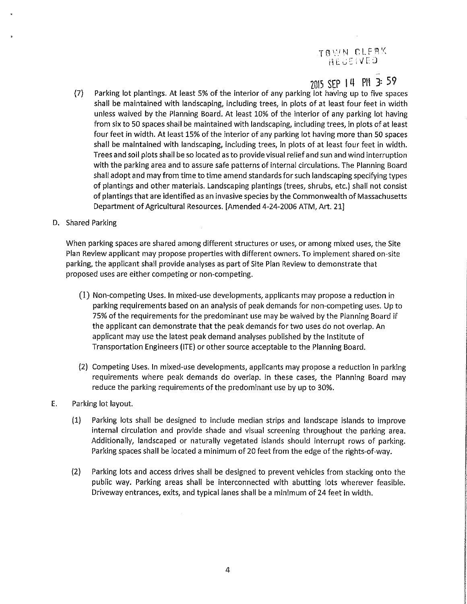# T B W N CLEAK

## 2015 SEP 14 PM 3: 59

(7) Parking lot plantings. At least 5% of the interior of any parking lot having up to five spaces shall be maintained with landscaping, including trees, in plots of at least four feet in width unless waived by the Planning Board. At least 10% of the interior of any parking lot having from six to 50 spaces shall be maintained with landscaping, including trees, in plots of at least four feet in width. At least 15% of the interior of any parking lot having more than 50 spaces shall be maintained with landscaping, including trees, in plots of at least four feet in width. Trees and soil plots shall be so located as to provide visual relief and sun and wind interruption with the parking area and to assure safe patterns of internal circulations. The Planning Board shall adopt and may from time to time amend standards for such landscaping specifying types of plantings and other materials. Landscaping plantings (trees, shrubs, etc.) shall not consist of plantings that are identified as an invasive species by the Commonwealth of Massachusetts Department of Agricultural Resources. [Amended 4-24-2006 ATM, Art. 21]

### D. Shared Parking

When parking spaces are shared among different structures or uses, or among mixed uses, the Site Plan Review applicant may propose properties with different owners. To implement shared on-site parking, the applicant shall provide analyses as part of Site Plan Review to demonstrate that proposed uses are either competing or non-competing.

- (1) Non-competing Uses. In mixed-use developments, applicants may propose a reduction in parking requirements based on an analysis of peak demands for non-competing uses. Up to 75% of the requirements for the predominant use may be waived by the Planning Board if the applicant can demonstrate that the peak demands for two uses do not overlap. An applicant may use the latest peak demand analyses published by the Institute of Transportation Engineers (ITE) or other source acceptable to the Planning Board.
- (2) Competing Uses. In mixed-use developments, applicants may propose a reduction in parking requirements where peak demands do overlap. In these cases, the Planning Board may reduce the parking requirements of the predominant use by up to 30%.

### E. Parking lot layout.

- (1) Parking lots shall be designed to include median strips and landscape islands to improve internal circulation and provide shade and visual screening throughout the parking area. Additionally, landscaped or naturally vegetated islands should interrupt rows of parking. Parking spaces shall be located a minimum of 20 feet from the edge of the rights-of-way.
- (2) Parking lots and access drives shall be designed to prevent vehicles from stacking onto the public way. Parking areas shall be interconnected with abutting lots wherever feasible. Driveway entrances, exits, and typical lanes shall be a minimum of 24 feet in width.